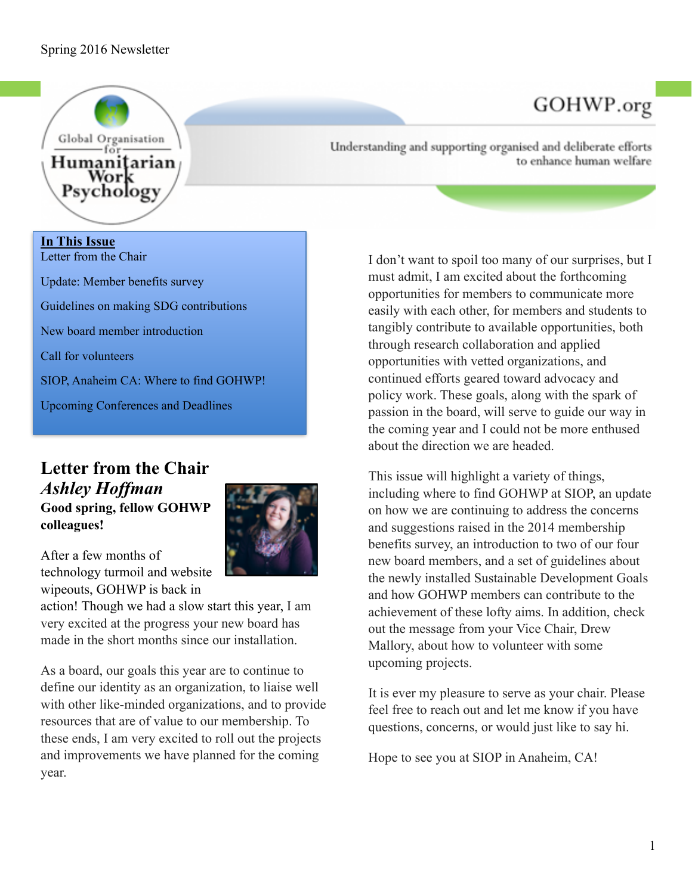

# **In This Issue** Letter from the Chair Update: Member benefits survey Guidelines on making SDG contributions New board member introduction Call for volunteers SIOP, Anaheim CA: Where to find GOHWP! Upcoming Conferences and Deadlines

## **Letter from the Chair**  *Ashley Hoffman* **Good spring, fellow GOHWP colleagues!**



After a few months of technology turmoil and website wipeouts, GOHWP is back in

action! Though we had a slow start this year, I am very excited at the progress your new board has made in the short months since our installation.

As a board, our goals this year are to continue to define our identity as an organization, to liaise well with other like-minded organizations, and to provide resources that are of value to our membership. To these ends, I am very excited to roll out the projects and improvements we have planned for the coming year.

Understanding and supporting organised and deliberate efforts to enhance human welfare

GOHWP.org

I don't want to spoil too many of our surprises, but I must admit, I am excited about the forthcoming opportunities for members to communicate more easily with each other, for members and students to tangibly contribute to available opportunities, both through research collaboration and applied opportunities with vetted organizations, and continued efforts geared toward advocacy and policy work. These goals, along with the spark of passion in the board, will serve to guide our way in the coming year and I could not be more enthused about the direction we are headed.

This issue will highlight a variety of things, including where to find GOHWP at SIOP, an update on how we are continuing to address the concerns and suggestions raised in the 2014 membership benefits survey, an introduction to two of our four new board members, and a set of guidelines about the newly installed Sustainable Development Goals and how GOHWP members can contribute to the achievement of these lofty aims. In addition, check out the message from your Vice Chair, Drew Mallory, about how to volunteer with some upcoming projects.

It is ever my pleasure to serve as your chair. Please feel free to reach out and let me know if you have questions, concerns, or would just like to say hi.

Hope to see you at SIOP in Anaheim, CA!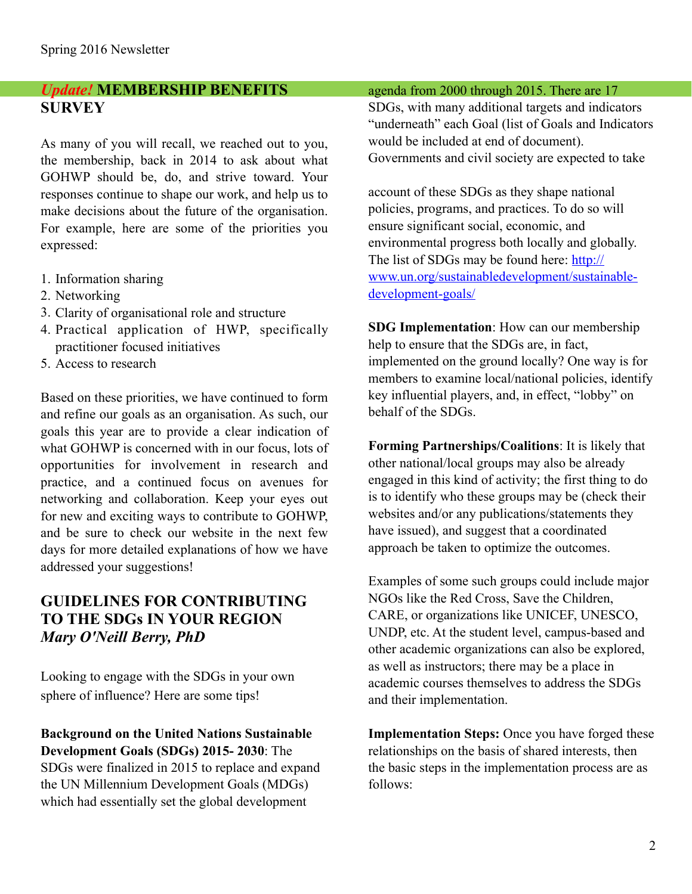### *Update!* **MEMBERSHIP BENEFITS SURVEY**

As many of you will recall, we reached out to you, the membership, back in 2014 to ask about what GOHWP should be, do, and strive toward. Your responses continue to shape our work, and help us to make decisions about the future of the organisation. For example, here are some of the priorities you expressed:

- 1. Information sharing
- 2. Networking
- 3. Clarity of organisational role and structure
- 4. Practical application of HWP, specifically practitioner focused initiatives
- 5. Access to research

Based on these priorities, we have continued to form and refine our goals as an organisation. As such, our goals this year are to provide a clear indication of what GOHWP is concerned with in our focus, lots of opportunities for involvement in research and practice, and a continued focus on avenues for networking and collaboration. Keep your eyes out for new and exciting ways to contribute to GOHWP, and be sure to check our website in the next few days for more detailed explanations of how we have addressed your suggestions!

# **GUIDELINES FOR CONTRIBUTING TO THE SDGs IN YOUR REGION** *Mary O'Neill Berry, PhD*

Looking to engage with the SDGs in your own sphere of influence? Here are some tips!

**Background on the United Nations Sustainable Development Goals (SDGs) 2015- 2030**: The SDGs were finalized in 2015 to replace and expand the UN Millennium Development Goals (MDGs) which had essentially set the global development

#### agenda from 2000 through 2015. There are 17

SDGs, with many additional targets and indicators "underneath" each Goal (list of Goals and Indicators would be included at end of document). Governments and civil society are expected to take

account of these SDGs as they shape national policies, programs, and practices. To do so will ensure significant social, economic, and environmental progress both locally and globally. The list of SDGs may be found here: http:// [www.un.org/sustainabledevelopment/sustainable](http://www.un.org/sustainabledevelopment/sustainable-development-goals/)development-goals/

**SDG Implementation**: How can our membership help to ensure that the SDGs are, in fact, implemented on the ground locally? One way is for members to examine local/national policies, identify key influential players, and, in effect, "lobby" on behalf of the SDGs.

**Forming Partnerships/Coalitions**: It is likely that other national/local groups may also be already engaged in this kind of activity; the first thing to do is to identify who these groups may be (check their websites and/or any publications/statements they have issued), and suggest that a coordinated approach be taken to optimize the outcomes.

Examples of some such groups could include major NGOs like the Red Cross, Save the Children, CARE, or organizations like UNICEF, UNESCO, UNDP, etc. At the student level, campus-based and other academic organizations can also be explored, as well as instructors; there may be a place in academic courses themselves to address the SDGs and their implementation.

**Implementation Steps:** Once you have forged these relationships on the basis of shared interests, then the basic steps in the implementation process are as follows: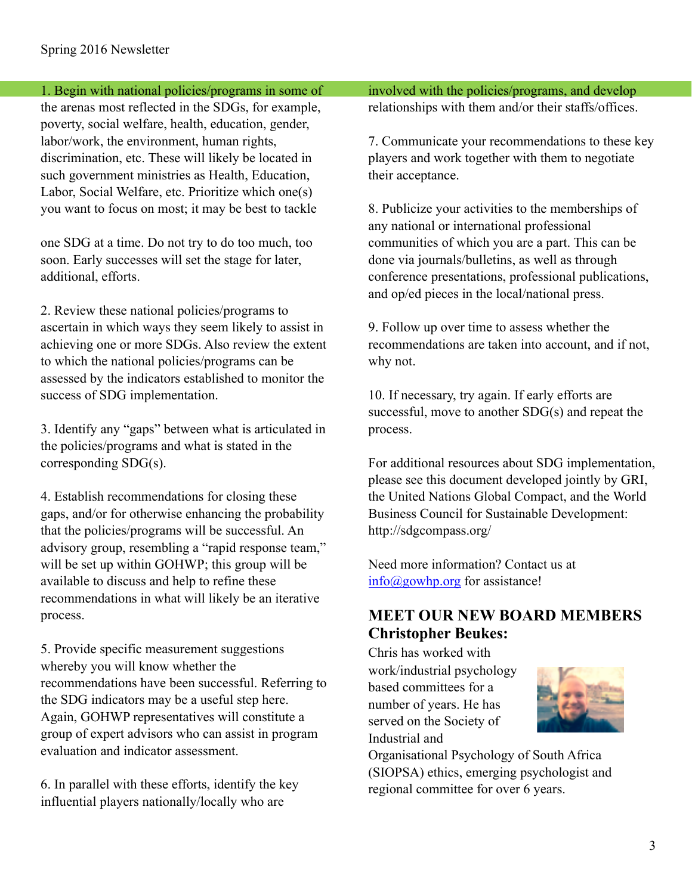1. Begin with national policies/programs in some of

the arenas most reflected in the SDGs, for example, poverty, social welfare, health, education, gender, labor/work, the environment, human rights, discrimination, etc. These will likely be located in such government ministries as Health, Education, Labor, Social Welfare, etc. Prioritize which one(s) you want to focus on most; it may be best to tackle

one SDG at a time. Do not try to do too much, too soon. Early successes will set the stage for later, additional, efforts.

2. Review these national policies/programs to ascertain in which ways they seem likely to assist in achieving one or more SDGs. Also review the extent to which the national policies/programs can be assessed by the indicators established to monitor the success of SDG implementation.

3. Identify any "gaps" between what is articulated in the policies/programs and what is stated in the corresponding SDG(s).

4. Establish recommendations for closing these gaps, and/or for otherwise enhancing the probability that the policies/programs will be successful. An advisory group, resembling a "rapid response team," will be set up within GOHWP; this group will be available to discuss and help to refine these recommendations in what will likely be an iterative process.

5. Provide specific measurement suggestions whereby you will know whether the recommendations have been successful. Referring to the SDG indicators may be a useful step here. Again, GOHWP representatives will constitute a group of expert advisors who can assist in program evaluation and indicator assessment.

6. In parallel with these efforts, identify the key influential players nationally/locally who are

involved with the policies/programs, and develop relationships with them and/or their staffs/offices.

7. Communicate your recommendations to these key players and work together with them to negotiate their acceptance.

8. Publicize your activities to the memberships of any national or international professional communities of which you are a part. This can be done via journals/bulletins, as well as through conference presentations, professional publications, and op/ed pieces in the local/national press.

9. Follow up over time to assess whether the recommendations are taken into account, and if not, why not.

10. If necessary, try again. If early efforts are successful, move to another SDG(s) and repeat the process.

For additional resources about SDG implementation, please see this document developed jointly by GRI, the United Nations Global Compact, and the World Business Council for Sustainable Development: http://sdgcompass.org/

Need more information? Contact us at [info@gowhp.org](mailto:info@gowhp.org) for assistance!

# **MEET OUR NEW BOARD MEMBERS Christopher Beukes:**

Chris has worked with work/industrial psychology based committees for a number of years. He has served on the Society of Industrial and



Organisational Psychology of South Africa (SIOPSA) ethics, emerging psychologist and regional committee for over 6 years.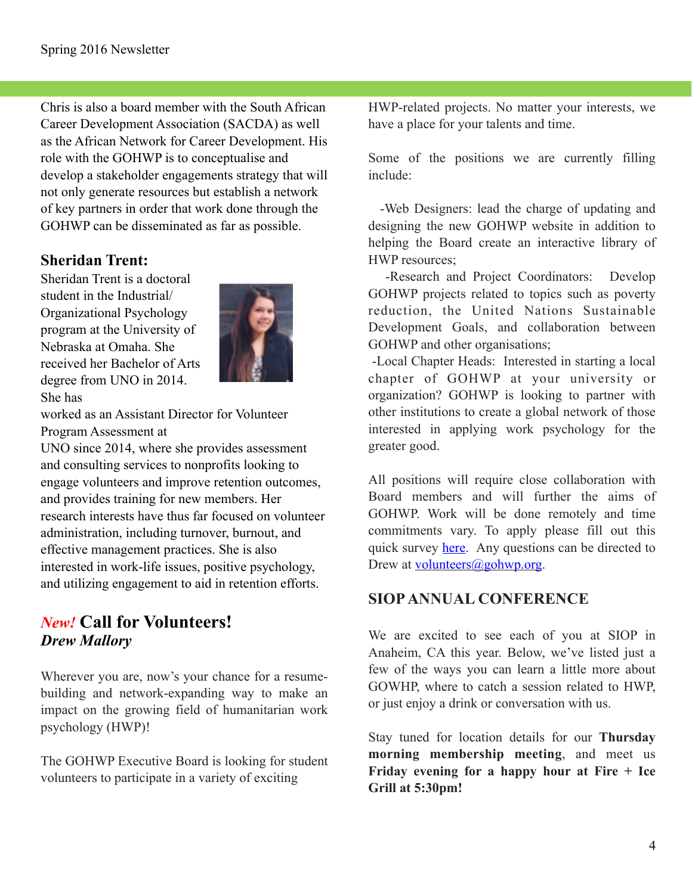Chris is also a board member with the South African Career Development Association (SACDA) as well as the African Network for Career Development. His role with the GOHWP is to conceptualise and develop a stakeholder engagements strategy that will not only generate resources but establish a network of key partners in order that work done through the GOHWP can be disseminated as far as possible.

# **Sheridan Trent:**

Sheridan Trent is a doctoral student in the Industrial/ Organizational Psychology program at the University of Nebraska at Omaha. She received her Bachelor of Arts degree from UNO in 2014. She has



worked as an Assistant Director for Volunteer Program Assessment at

UNO since 2014, where she provides assessment and consulting services to nonprofits looking to engage volunteers and improve retention outcomes, and provides training for new members. Her research interests have thus far focused on volunteer administration, including turnover, burnout, and effective management practices. She is also interested in work-life issues, positive psychology, and utilizing engagement to aid in retention efforts.

# *New!* **Call for Volunteers!**  *Drew Mallory*

Wherever you are, now's your chance for a resumebuilding and network-expanding way to make an impact on the growing field of humanitarian work psychology (HWP)!

The GOHWP Executive Board is looking for student volunteers to participate in a variety of exciting

HWP-related projects. No matter your interests, we have a place for your talents and time.

Some of the positions we are currently filling include:

 -Web Designers: lead the charge of updating and designing the new GOHWP website in addition to helping the Board create an interactive library of HWP resources;

 -Research and Project Coordinators: Develop GOHWP projects related to topics such as poverty reduction, the United Nations Sustainable Development Goals, and collaboration between GOHWP and other organisations;

 -Local Chapter Heads: Interested in starting a local chapter of GOHWP at your university or organization? GOHWP is looking to partner with other institutions to create a global network of those interested in applying work psychology for the greater good.

All positions will require close collaboration with Board members and will further the aims of GOHWP. Work will be done remotely and time commitments vary. To apply please fill out this quick survey [here](https://docs.google.com/forms/d/14OCwKO3yJ13i7ySl6N5-9YqC7gY1aRpWg_PvLZMeymM/viewform?c=0&w=1). Any questions can be directed to Drew at <u>volunteers@gohwp.org</u>.

## **SIOP ANNUAL CONFERENCE**

We are excited to see each of you at SIOP in Anaheim, CA this year. Below, we've listed just a few of the ways you can learn a little more about GOWHP, where to catch a session related to HWP, or just enjoy a drink or conversation with us.

Stay tuned for location details for our **Thursday morning membership meeting**, and meet us **Friday evening for a happy hour at Fire + Ice Grill at 5:30pm!**